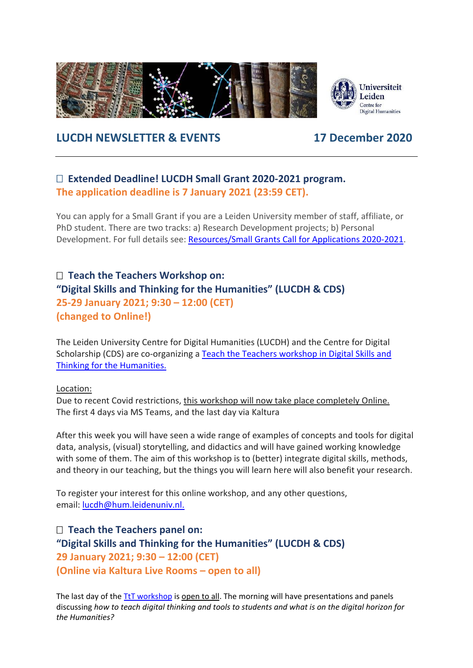

# **LUCDH NEWSLETTER & EVENTS 17 December 2020**

## **Extended Deadline! LUCDH Small Grant 2020-2021 program. The application deadline is 7 January 2021 (23:59 CET).**

You can apply for a Small Grant if you are a Leiden University member of staff, affiliate, or PhD student. There are two tracks: a) Research Development projects; b) Personal Development. For full details see: [Resources/Small Grants Call for Applications 2020-2021.](https://www.universiteitleiden.nl/en/humanities/centre-for-digital-humanities/resources/sg)

## **Teach the Teachers Workshop on: "Digital Skills and Thinking for the Humanities" (LUCDH & CDS) 25-29 January 2021; 9:30 – 12:00 (CET) (changed to Online!)**

The Leiden University Centre for Digital Humanities (LUCDH) and the Centre for Digital Scholarship (CDS) are co-organizing a Teach the Teachers workshop in Digital Skills and [Thinking for the Humanities.](https://www.universiteitleiden.nl/en/events/2021/01/teach-the-teachers-workshop-in-digital-skills)

### Location:

Due to recent Covid restrictions, this workshop will now take place completely Online. The first 4 days via MS Teams, and the last day via Kaltura

After this week you will have seen a wide range of examples of concepts and tools for digital data, analysis, (visual) storytelling, and didactics and will have gained working knowledge with some of them. The aim of this workshop is to (better) integrate digital skills, methods, and theory in our teaching, but the things you will learn here will also benefit your research.

To register your interest for this online workshop, and any other questions, email: [lucdh@hum.leidenuniv.nl.](mailto:lucdh@hum.leidenuniv.nl)

 **Teach the Teachers panel on: "Digital Skills and Thinking for the Humanities" (LUCDH & CDS) 29 January 2021; 9:30 – 12:00 (CET) (Online via Kaltura Live Rooms – open to all)**

The last day of the [TtT workshop](https://www.universiteitleiden.nl/en/events/2021/01/teach-the-teachers-workshop-in-digital-skills) is open to all. The morning will have presentations and panels discussing *how to teach digital thinking and tools to students and what is on the digital horizon for the Humanities?*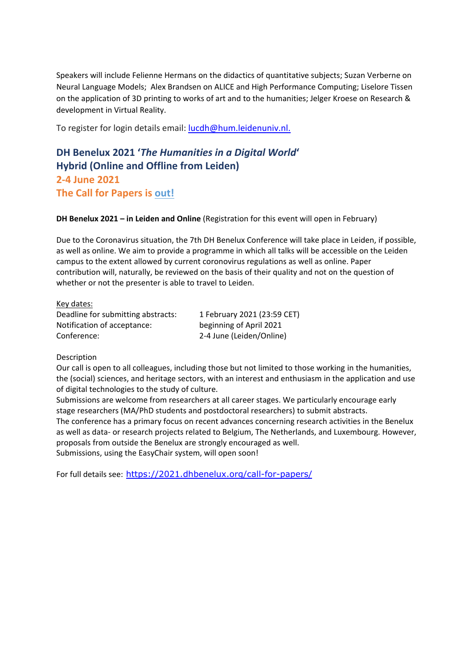Speakers will include Felienne Hermans on the didactics of quantitative subjects; Suzan Verberne on Neural Language Models; Alex Brandsen on ALICE and High Performance Computing; Liselore Tissen on the application of 3D printing to works of art and to the humanities; Jelger Kroese on Research & development in Virtual Reality.

To register for login details email: [lucdh@hum.leidenuniv.nl.](mailto:lucdh@hum.leidenuniv.nl)

# **DH Benelux 2021 '***The Humanities in a Digital World***' Hybrid (Online and Offline from Leiden) 2-4 June 2021 The Call for Papers is [out!](https://2021.dhbenelux.org/call-for-papers/)**

**DH Benelux 2021 – in Leiden and Online** (Registration for this event will open in February)

Due to the Coronavirus situation, the 7th DH Benelux Conference will take place in Leiden, if possible, as well as online. We aim to provide a programme in which all talks will be accessible on the Leiden campus to the extent allowed by current coronovirus regulations as well as online. Paper contribution will, naturally, be reviewed on the basis of their quality and not on the question of whether or not the presenter is able to travel to Leiden.

Key dates: Deadline for submitting abstracts: 1 February 2021 (23:59 CET) Notification of acceptance: beginning of April 2021 Conference: 2-4 June (Leiden/Online)

#### Description

Our call is open to all colleagues, including those but not limited to those working in the humanities, the (social) sciences, and heritage sectors, with an interest and enthusiasm in the application and use of digital technologies to the study of culture.

Submissions are welcome from researchers at all career stages. We particularly encourage early stage researchers (MA/PhD students and postdoctoral researchers) to submit abstracts. The conference has a primary focus on recent advances concerning research activities in the Benelux as well as data- or research projects related to Belgium, The Netherlands, and Luxembourg. However, proposals from outside the Benelux are strongly encouraged as well. Submissions, using the EasyChair system, will open soon!

For full details see: <https://2021.dhbenelux.org/call-for-papers/>